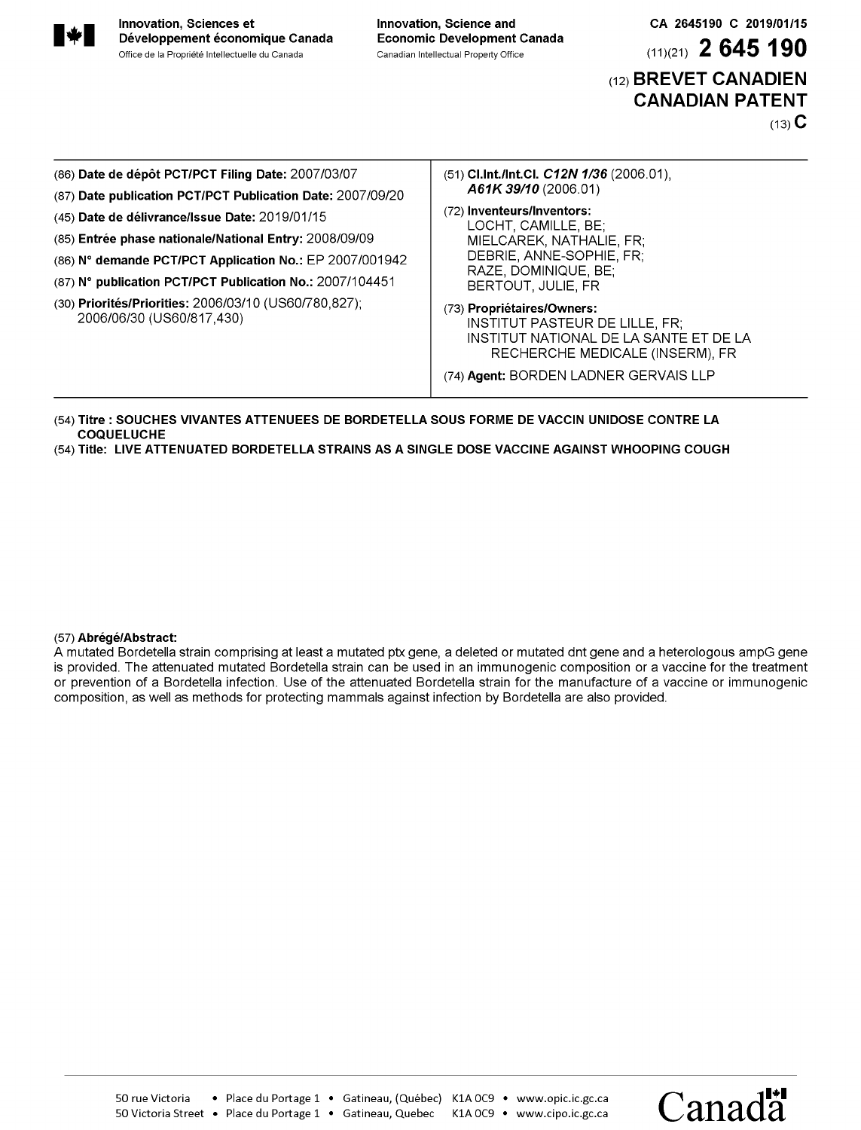

CA 2645190 C 2019/01/15

 $(11)(21)$  2 645 190

(12) BREVET CANADIEN **CANADIAN PATENT** 

 $(13)$  C

| (86) Date de dépôt PCT/PCT Filing Date: 2007/03/07<br>(87) Date publication PCT/PCT Publication Date: 2007/09/20                                                                                                                                                                                                      | (51) Cl.Int./Int.Cl. C12N 1/36 (2006.01),<br>A61K 39/10 (2006.01)                                                                                                                  |
|-----------------------------------------------------------------------------------------------------------------------------------------------------------------------------------------------------------------------------------------------------------------------------------------------------------------------|------------------------------------------------------------------------------------------------------------------------------------------------------------------------------------|
| (45) Date de délivrance/Issue Date: 2019/01/15<br>(85) Entrée phase nationale/National Entry: 2008/09/09<br>(86) N° demande PCT/PCT Application No.: EP 2007/001942<br>(87) N° publication PCT/PCT Publication No.: 2007/104451<br>(30) Priorités/Priorities: 2006/03/10 (US60/780.827);<br>2006/06/30 (US60/817,430) | (72) Inventeurs/Inventors:<br>LOCHT, CAMILLE, BE:<br>MIELCAREK, NATHALIE, FR;<br>DEBRIE, ANNE-SOPHIE, FR.<br>RAZE, DOMINIQUE, BE;<br>BERTOUT, JULIE, FR                            |
|                                                                                                                                                                                                                                                                                                                       | (73) Propriétaires/Owners:<br>INSTITUT PASTEUR DE LILLE, FR;<br>INSTITUT NATIONAL DE LA SANTE ET DE LA<br>RECHERCHE MEDICALE (INSERM), FR<br>(74) Agent: BORDEN LADNER GERVAIS LLP |

- (54) Titre : SOUCHES VIVANTES ATTENUEES DE BORDETELLA SOUS FORME DE VACCIN UNIDOSE CONTRE LA **COQUELUCHE**
- (54) Title: LIVE ATTENUATED BORDETELLA STRAINS AS A SINGLE DOSE VACCINE AGAINST WHOOPING COUGH

## (57) Abrégé/Abstract:

A mutated Bordetella strain comprising at least a mutated ptx gene, a deleted or mutated dnt gene and a heterologous ampG gene is provided. The attenuated mutated Bordetella strain can be used in an immunogenic composition or a vaccine for the treatment or prevention of a Bordetella infection. Use of the attenuated Bordetella strain for the manufacture of a vaccine or immunogenic composition, as well as methods for protecting mammals against infection by Bordetella are also provided.